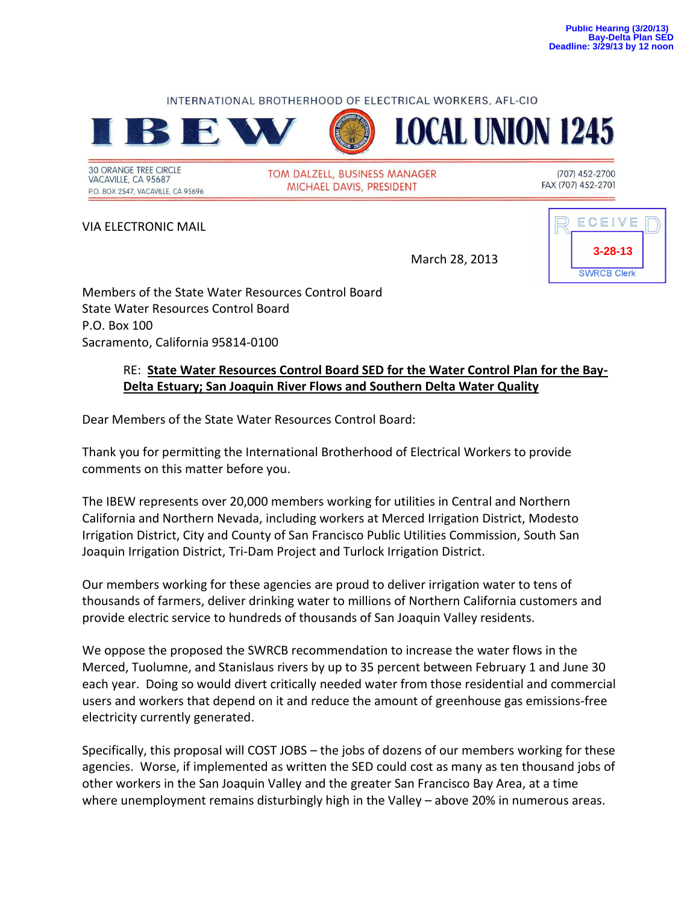## INTERNATIONAL BROTHERHOOD OF ELECTRICAL WORKERS, AFL-CIO



**30 ORANGE TREE CIRCLE** VACAVILLE, CA 95687 P.O. BOX 2547, VACAVILLE, CA 95696 TOM DALZELL, BUSINESS MANAGER MICHAEL DAVIS, PRESIDENT

(707) 452-2700 FAX (707) 452-2701

VIA ELECTRONIC MAIL



March 28, 2013

**LOCAL UNION 1245** 

Members of the State Water Resources Control Board State Water Resources Control Board P.O. Box 100 Sacramento, California 95814-0100

## RE: **State Water Resources Control Board SED for the Water Control Plan for the Bay-Delta Estuary; San Joaquin River Flows and Southern Delta Water Quality**

Dear Members of the State Water Resources Control Board:

Thank you for permitting the International Brotherhood of Electrical Workers to provide comments on this matter before you.

The IBEW represents over 20,000 members working for utilities in Central and Northern California and Northern Nevada, including workers at Merced Irrigation District, Modesto Irrigation District, City and County of San Francisco Public Utilities Commission, South San Joaquin Irrigation District, Tri-Dam Project and Turlock Irrigation District.

Our members working for these agencies are proud to deliver irrigation water to tens of thousands of farmers, deliver drinking water to millions of Northern California customers and provide electric service to hundreds of thousands of San Joaquin Valley residents.

We oppose the proposed the SWRCB recommendation to increase the water flows in the Merced, Tuolumne, and Stanislaus rivers by up to 35 percent between February 1 and June 30 each year. Doing so would divert critically needed water from those residential and commercial users and workers that depend on it and reduce the amount of greenhouse gas emissions-free electricity currently generated.

Specifically, this proposal will COST JOBS – the jobs of dozens of our members working for these agencies. Worse, if implemented as written the SED could cost as many as ten thousand jobs of other workers in the San Joaquin Valley and the greater San Francisco Bay Area, at a time where unemployment remains disturbingly high in the Valley – above 20% in numerous areas.